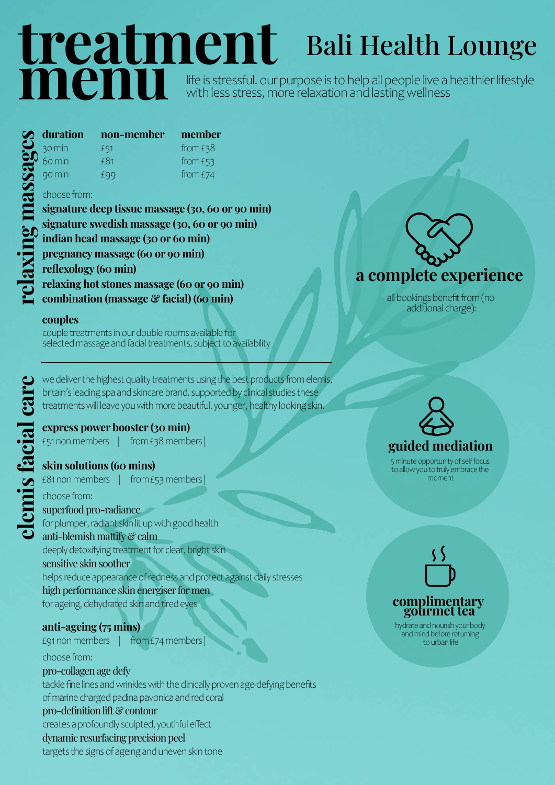## treatment menu life is stressful. our purpose is to help all people live a healthier lifestyle with less stress, more relaxation and lasting wellness

| duration              | non-member | member   |
|-----------------------|------------|----------|
| $\frac{30}{2}$ so min | £51        | from £38 |
|                       | f81        | from £53 |
| 90 min                | £99        | from £74 |

### choose from:

signature deep tissue massage (30, 60 or 90 min) signature swedish massage (30, 60 or 90 min) indian head massage (30 or 60 min) pregnancy massage (60 or 90 min) reflexology (60 min) relaxing hot stones massage (60 or 90 min) combination (massage & facial) (60 min)

### couples

couple treatments in our double rooms available for selected massage and facial treatments, subject to availability

britain's leading spa and skincare brand. supported by clinical studies these treatments will leave you with more beautiful, younger, healthy looking skin.

### express power booster (30 min)

£51 non members | from £38 members |

### skin solutions (60 mins)

£81 non members  $|$  from £53 members

elemis for deliver the highest quality treatments using the best products from elemis,<br>
britain's leading spa and skincare brand. supported by clinical studies these<br>
treatments will leave you with more beautiful, younger, choose from: superfood pro-radiance for plumper, radiant skin lit up with good health anti-blemish mattify & calm deeply detoxifying treatment for clear, bright skin sensitive skin soother helps reduce appearance of redness and protect against daily stresses high performance skin energiser for men for ageing, dehydrated skin and tired eyes

### anti-ageing (75 mins)

£91 non members | from £74 members |

### choose from:

pro-collagen age defy tackle fine lines and wrinkles with the clinically proven age-defying benefits of marine charged padina pavonica and red coral pro-definition lift & contour creates a profoundly sculpted, youthful effect dynamic resurfacing precision peel targets the signs of ageing and uneven skin tone



Bali Health Lounge

all bookings benefit from (no additional charge):

# guided mediation

5 minute opportunity of self focus to allow you to truly embrace the moment

# complimentary gourmet tea

hydrate and nourish your body and mind before returning to urban life